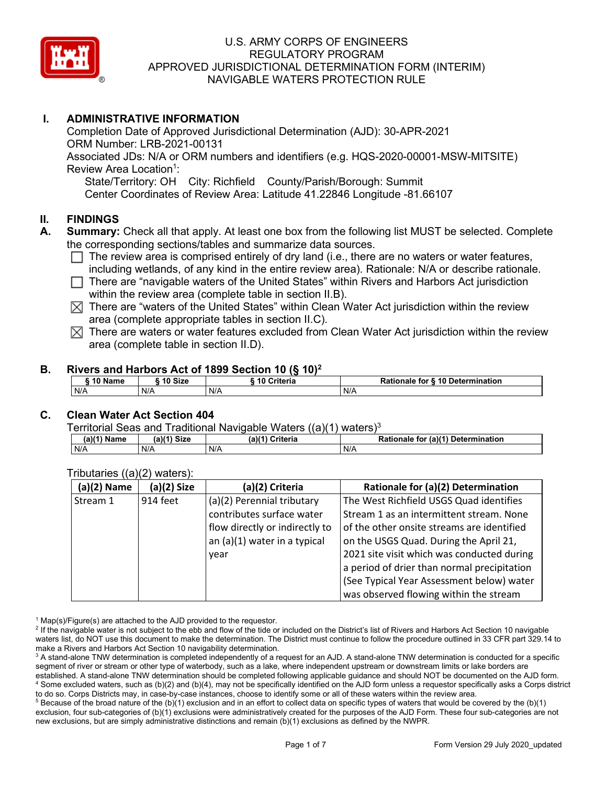

## **I. ADMINISTRATIVE INFORMATION**

Completion Date of Approved Jurisdictional Determination (AJD): 30-APR-2021 ORM Number: LRB-2021-00131 Associated JDs: N/A or ORM numbers and identifiers (e.g. HQS-2020-00001-MSW-MITSITE) Review Area Location<sup>1</sup>: State/Territory: OH City: Richfield County/Parish/Borough: Summit Center Coordinates of Review Area: Latitude 41.22846 Longitude -81.66107

#### **II. FINDINGS**

- **A. Summary:** Check all that apply. At least one box from the following list MUST be selected. Complete the corresponding sections/tables and summarize data sources.
	- $\Box$  The review area is comprised entirely of dry land (i.e., there are no waters or water features, including wetlands, of any kind in the entire review area). Rationale: N/A or describe rationale.
	- $\Box$  There are "navigable waters of the United States" within Rivers and Harbors Act jurisdiction within the review area (complete table in section II.B).
	- $\boxtimes$  There are "waters of the United States" within Clean Water Act jurisdiction within the review area (complete appropriate tables in section II.C).
	- $\boxtimes$  There are waters or water features excluded from Clean Water Act jurisdiction within the review area (complete table in section II.D).

#### **B. Rivers and Harbors Act of 1899 Section 10 (§ 10)2**

| 10 Name<br>10 Size<br>Criteria<br>Rationale for § 10 Determination |  |  |  |
|--------------------------------------------------------------------|--|--|--|
| N/A<br>N/A<br>N/A<br>N/A                                           |  |  |  |

## **C. Clean Water Act Section 404**

Territorial Seas and Traditional Navigable Waters  $((a)(1)$  waters)<sup>3</sup>

| (a)(1) <sup>⊮</sup><br>Name | $(a)(1)$ Size | $(a)$ <sup><math>\prime</math></sup><br>Criteria | (a)(1) Determination<br><b>Rationale</b><br>for |
|-----------------------------|---------------|--------------------------------------------------|-------------------------------------------------|
| N/A                         | N/A           | N/A                                              | N/A                                             |

| $(a)(2)$ Name | (a)(2) Size | (a)(2) Criteria                | Rationale for (a)(2) Determination          |
|---------------|-------------|--------------------------------|---------------------------------------------|
| Stream 1      | 914 feet    | (a)(2) Perennial tributary     | The West Richfield USGS Quad identifies     |
|               |             | contributes surface water      | Stream 1 as an intermittent stream. None    |
|               |             | flow directly or indirectly to | of the other onsite streams are identified  |
|               |             | an (a)(1) water in a typical   | on the USGS Quad. During the April 21,      |
|               |             | year                           | 2021 site visit which was conducted during  |
|               |             |                                | a period of drier than normal precipitation |
|               |             |                                | (See Typical Year Assessment below) water   |
|               |             |                                | was observed flowing within the stream      |

#### Tributaries ((a)(2) waters):

 $1$  Map(s)/Figure(s) are attached to the AJD provided to the requestor.

 $5$  Because of the broad nature of the (b)(1) exclusion and in an effort to collect data on specific types of waters that would be covered by the (b)(1) exclusion, four sub-categories of (b)(1) exclusions were administratively created for the purposes of the AJD Form. These four sub-categories are not new exclusions, but are simply administrative distinctions and remain (b)(1) exclusions as defined by the NWPR.

<sup>&</sup>lt;sup>2</sup> If the navigable water is not subject to the ebb and flow of the tide or included on the District's list of Rivers and Harbors Act Section 10 navigable waters list, do NOT use this document to make the determination. The District must continue to follow the procedure outlined in 33 CFR part 329.14 to make a Rivers and Harbors Act Section 10 navigability determination.

<sup>&</sup>lt;sup>3</sup> A stand-alone TNW determination is completed independently of a request for an AJD. A stand-alone TNW determination is conducted for a specific segment of river or stream or other type of waterbody, such as a lake, where independent upstream or downstream limits or lake borders are established. A stand-alone TNW determination should be completed following applicable guidance and should NOT be documented on the AJD form. <sup>4</sup> Some excluded waters, such as (b)(2) and (b)(4), may not be specifically identified on the AJD form unless a requestor specifically asks a Corps district to do so. Corps Districts may, in case-by-case instances, choose to identify some or all of these waters within the review area.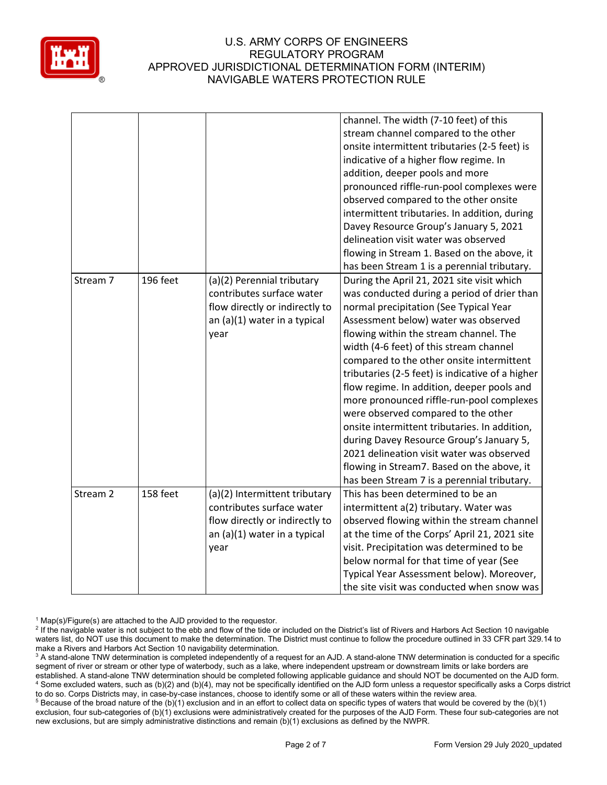

|          |          |                                | channel. The width (7-10 feet) of this           |
|----------|----------|--------------------------------|--------------------------------------------------|
|          |          |                                | stream channel compared to the other             |
|          |          |                                | onsite intermittent tributaries (2-5 feet) is    |
|          |          |                                | indicative of a higher flow regime. In           |
|          |          |                                | addition, deeper pools and more                  |
|          |          |                                | pronounced riffle-run-pool complexes were        |
|          |          |                                | observed compared to the other onsite            |
|          |          |                                | intermittent tributaries. In addition, during    |
|          |          |                                | Davey Resource Group's January 5, 2021           |
|          |          |                                | delineation visit water was observed             |
|          |          |                                | flowing in Stream 1. Based on the above, it      |
|          |          |                                | has been Stream 1 is a perennial tributary.      |
| Stream 7 | 196 feet | (a)(2) Perennial tributary     | During the April 21, 2021 site visit which       |
|          |          | contributes surface water      | was conducted during a period of drier than      |
|          |          | flow directly or indirectly to | normal precipitation (See Typical Year           |
|          |          | an (a)(1) water in a typical   | Assessment below) water was observed             |
|          |          | year                           | flowing within the stream channel. The           |
|          |          |                                | width (4-6 feet) of this stream channel          |
|          |          |                                | compared to the other onsite intermittent        |
|          |          |                                | tributaries (2-5 feet) is indicative of a higher |
|          |          |                                | flow regime. In addition, deeper pools and       |
|          |          |                                | more pronounced riffle-run-pool complexes        |
|          |          |                                | were observed compared to the other              |
|          |          |                                | onsite intermittent tributaries. In addition,    |
|          |          |                                | during Davey Resource Group's January 5,         |
|          |          |                                | 2021 delineation visit water was observed        |
|          |          |                                | flowing in Stream7. Based on the above, it       |
|          |          |                                | has been Stream 7 is a perennial tributary.      |
| Stream 2 | 158 feet | (a)(2) Intermittent tributary  | This has been determined to be an                |
|          |          | contributes surface water      | intermittent a(2) tributary. Water was           |
|          |          | flow directly or indirectly to | observed flowing within the stream channel       |
|          |          | an (a)(1) water in a typical   | at the time of the Corps' April 21, 2021 site    |
|          |          | year                           | visit. Precipitation was determined to be        |
|          |          |                                | below normal for that time of year (See          |
|          |          |                                | Typical Year Assessment below). Moreover,        |
|          |          |                                | the site visit was conducted when snow was       |

 $1$  Map(s)/Figure(s) are attached to the AJD provided to the requestor.

<sup>5</sup> Because of the broad nature of the (b)(1) exclusion and in an effort to collect data on specific types of waters that would be covered by the (b)(1) exclusion, four sub-categories of (b)(1) exclusions were administratively created for the purposes of the AJD Form. These four sub-categories are not new exclusions, but are simply administrative distinctions and remain (b)(1) exclusions as defined by the NWPR.

<sup>&</sup>lt;sup>2</sup> If the navigable water is not subject to the ebb and flow of the tide or included on the District's list of Rivers and Harbors Act Section 10 navigable waters list, do NOT use this document to make the determination. The District must continue to follow the procedure outlined in 33 CFR part 329.14 to make a Rivers and Harbors Act Section 10 navigability determination.

<sup>&</sup>lt;sup>3</sup> A stand-alone TNW determination is completed independently of a request for an AJD. A stand-alone TNW determination is conducted for a specific segment of river or stream or other type of waterbody, such as a lake, where independent upstream or downstream limits or lake borders are established. A stand-alone TNW determination should be completed following applicable guidance and should NOT be documented on the AJD form. <sup>4</sup> Some excluded waters, such as (b)(2) and (b)(4), may not be specifically identified on the AJD form unless a requestor specifically asks a Corps district to do so. Corps Districts may, in case-by-case instances, choose to identify some or all of these waters within the review area.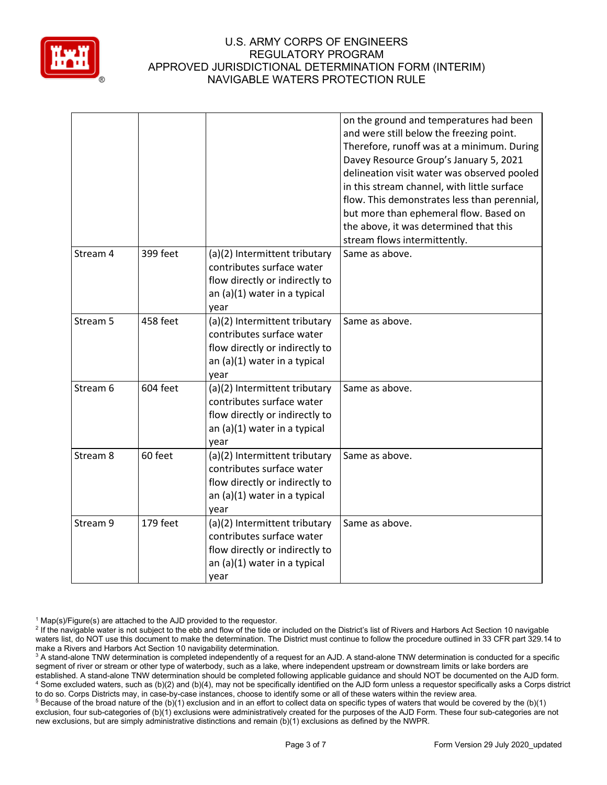

|                     |          |                                                                                                                                      | on the ground and temperatures had been<br>and were still below the freezing point.<br>Therefore, runoff was at a minimum. During<br>Davey Resource Group's January 5, 2021<br>delineation visit water was observed pooled<br>in this stream channel, with little surface<br>flow. This demonstrates less than perennial,<br>but more than ephemeral flow. Based on<br>the above, it was determined that this<br>stream flows intermittently. |
|---------------------|----------|--------------------------------------------------------------------------------------------------------------------------------------|-----------------------------------------------------------------------------------------------------------------------------------------------------------------------------------------------------------------------------------------------------------------------------------------------------------------------------------------------------------------------------------------------------------------------------------------------|
| Stream 4            | 399 feet | (a)(2) Intermittent tributary<br>contributes surface water<br>flow directly or indirectly to<br>an (a)(1) water in a typical<br>year | Same as above.                                                                                                                                                                                                                                                                                                                                                                                                                                |
| Stream 5            | 458 feet | (a)(2) Intermittent tributary<br>contributes surface water<br>flow directly or indirectly to<br>an (a)(1) water in a typical<br>year | Same as above.                                                                                                                                                                                                                                                                                                                                                                                                                                |
| Stream 6            | 604 feet | (a)(2) Intermittent tributary<br>contributes surface water<br>flow directly or indirectly to<br>an (a)(1) water in a typical<br>year | Same as above.                                                                                                                                                                                                                                                                                                                                                                                                                                |
| Stream <sub>8</sub> | 60 feet  | (a)(2) Intermittent tributary<br>contributes surface water<br>flow directly or indirectly to<br>an (a)(1) water in a typical<br>year | Same as above.                                                                                                                                                                                                                                                                                                                                                                                                                                |
| Stream 9            | 179 feet | (a)(2) Intermittent tributary<br>contributes surface water<br>flow directly or indirectly to<br>an (a)(1) water in a typical<br>year | Same as above.                                                                                                                                                                                                                                                                                                                                                                                                                                |

 $1$  Map(s)/Figure(s) are attached to the AJD provided to the requestor.

<sup>5</sup> Because of the broad nature of the (b)(1) exclusion and in an effort to collect data on specific types of waters that would be covered by the (b)(1) exclusion, four sub-categories of (b)(1) exclusions were administratively created for the purposes of the AJD Form. These four sub-categories are not new exclusions, but are simply administrative distinctions and remain (b)(1) exclusions as defined by the NWPR.

<sup>&</sup>lt;sup>2</sup> If the navigable water is not subject to the ebb and flow of the tide or included on the District's list of Rivers and Harbors Act Section 10 navigable waters list, do NOT use this document to make the determination. The District must continue to follow the procedure outlined in 33 CFR part 329.14 to make a Rivers and Harbors Act Section 10 navigability determination.

<sup>&</sup>lt;sup>3</sup> A stand-alone TNW determination is completed independently of a request for an AJD. A stand-alone TNW determination is conducted for a specific segment of river or stream or other type of waterbody, such as a lake, where independent upstream or downstream limits or lake borders are established. A stand-alone TNW determination should be completed following applicable guidance and should NOT be documented on the AJD form. <sup>4</sup> Some excluded waters, such as (b)(2) and (b)(4), may not be specifically identified on the AJD form unless a requestor specifically asks a Corps district to do so. Corps Districts may, in case-by-case instances, choose to identify some or all of these waters within the review area.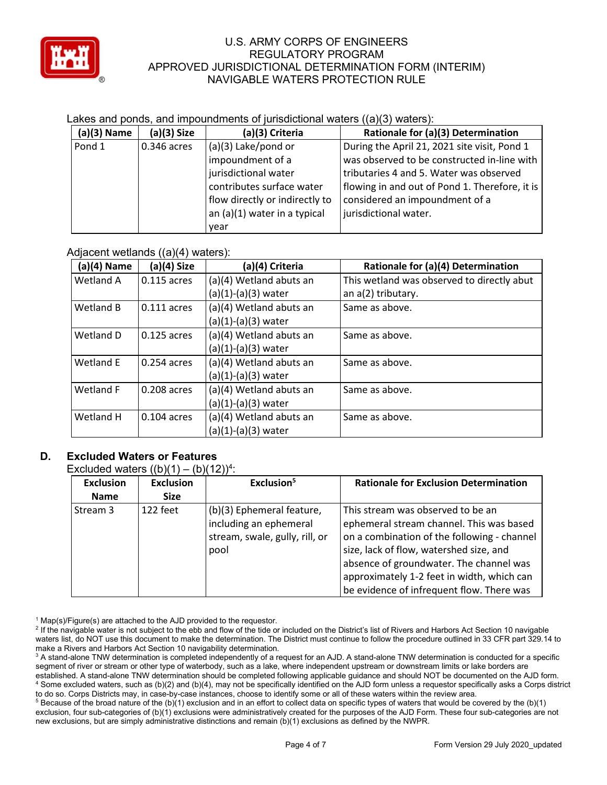

## Lakes and ponds, and impoundments of jurisdictional waters ((a)(3) waters):

| (a)(3) Name | $(a)(3)$ Size | (a)(3) Criteria                | Rationale for (a)(3) Determination             |
|-------------|---------------|--------------------------------|------------------------------------------------|
| Pond 1      | 0.346 acres   | (a)(3) Lake/pond or            | During the April 21, 2021 site visit, Pond 1   |
|             |               | impoundment of a               | was observed to be constructed in-line with    |
|             |               | jurisdictional water           | tributaries 4 and 5. Water was observed        |
|             |               | contributes surface water      | flowing in and out of Pond 1. Therefore, it is |
|             |               | flow directly or indirectly to | considered an impoundment of a                 |
|             |               | an (a)(1) water in a typical   | jurisdictional water.                          |
|             |               | year                           |                                                |

## Adjacent wetlands ((a)(4) waters):

|               | ,,,,,         |                         |                                            |
|---------------|---------------|-------------------------|--------------------------------------------|
| $(a)(4)$ Name | (a)(4) Size   | (a)(4) Criteria         | Rationale for (a)(4) Determination         |
| Wetland A     | 0.115 acres   | (a)(4) Wetland abuts an | This wetland was observed to directly abut |
|               |               | $(a)(1)-(a)(3)$ water   | an a(2) tributary.                         |
| Wetland B     | 0.111 acres   | (a)(4) Wetland abuts an | Same as above.                             |
|               |               | $(a)(1)-(a)(3)$ water   |                                            |
| Wetland D     | 0.125 acres   | (a)(4) Wetland abuts an | Same as above.                             |
|               |               | $(a)(1)-(a)(3)$ water   |                                            |
| Wetland E     | 0.254 acres   | (a)(4) Wetland abuts an | Same as above.                             |
|               |               | $(a)(1)-(a)(3)$ water   |                                            |
| Wetland F     | 0.208 acres   | (a)(4) Wetland abuts an | Same as above.                             |
|               |               | $(a)(1)-(a)(3)$ water   |                                            |
| Wetland H     | $0.104$ acres | (a)(4) Wetland abuts an | Same as above.                             |
|               |               | $(a)(1)-(a)(3)$ water   |                                            |

## **D. Excluded Waters or Features**

Excluded waters  $((b)(1) - (b)(12))^4$ :

| <b>Exclusion</b> | <b>Exclusion</b> | Exclusion <sup>5</sup>         | <b>Rationale for Exclusion Determination</b> |
|------------------|------------------|--------------------------------|----------------------------------------------|
| <b>Name</b>      | <b>Size</b>      |                                |                                              |
| l Stream 3       | 122 feet         | (b)(3) Ephemeral feature,      | This stream was observed to be an            |
|                  |                  | including an ephemeral         | ephemeral stream channel. This was based     |
|                  |                  | stream, swale, gully, rill, or | on a combination of the following - channel  |
|                  |                  | pool                           | size, lack of flow, watershed size, and      |
|                  |                  |                                | absence of groundwater. The channel was      |
|                  |                  |                                | approximately 1-2 feet in width, which can   |
|                  |                  |                                | be evidence of infrequent flow. There was    |

 $1$  Map(s)/Figure(s) are attached to the AJD provided to the requestor.

 $5$  Because of the broad nature of the (b)(1) exclusion and in an effort to collect data on specific types of waters that would be covered by the (b)(1) exclusion, four sub-categories of (b)(1) exclusions were administratively created for the purposes of the AJD Form. These four sub-categories are not new exclusions, but are simply administrative distinctions and remain (b)(1) exclusions as defined by the NWPR.

<sup>&</sup>lt;sup>2</sup> If the navigable water is not subject to the ebb and flow of the tide or included on the District's list of Rivers and Harbors Act Section 10 navigable waters list, do NOT use this document to make the determination. The District must continue to follow the procedure outlined in 33 CFR part 329.14 to make a Rivers and Harbors Act Section 10 navigability determination.

<sup>&</sup>lt;sup>3</sup> A stand-alone TNW determination is completed independently of a request for an AJD. A stand-alone TNW determination is conducted for a specific segment of river or stream or other type of waterbody, such as a lake, where independent upstream or downstream limits or lake borders are established. A stand-alone TNW determination should be completed following applicable guidance and should NOT be documented on the AJD form. <sup>4</sup> Some excluded waters, such as (b)(2) and (b)(4), may not be specifically identified on the AJD form unless a requestor specifically asks a Corps district to do so. Corps Districts may, in case-by-case instances, choose to identify some or all of these waters within the review area.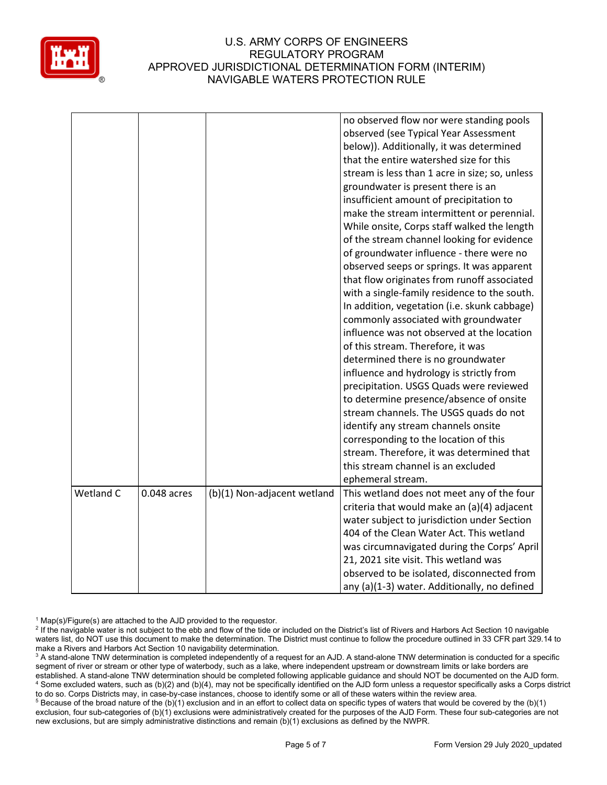

|           |             |                             | no observed flow nor were standing pools<br>observed (see Typical Year Assessment<br>below)). Additionally, it was determined<br>that the entire watershed size for this<br>stream is less than 1 acre in size; so, unless<br>groundwater is present there is an<br>insufficient amount of precipitation to<br>make the stream intermittent or perennial.<br>While onsite, Corps staff walked the length<br>of the stream channel looking for evidence<br>of groundwater influence - there were no<br>observed seeps or springs. It was apparent<br>that flow originates from runoff associated<br>with a single-family residence to the south.<br>In addition, vegetation (i.e. skunk cabbage)<br>commonly associated with groundwater<br>influence was not observed at the location<br>of this stream. Therefore, it was<br>determined there is no groundwater<br>influence and hydrology is strictly from<br>precipitation. USGS Quads were reviewed<br>to determine presence/absence of onsite<br>stream channels. The USGS quads do not<br>identify any stream channels onsite<br>corresponding to the location of this<br>stream. Therefore, it was determined that<br>this stream channel is an excluded |
|-----------|-------------|-----------------------------|-----------------------------------------------------------------------------------------------------------------------------------------------------------------------------------------------------------------------------------------------------------------------------------------------------------------------------------------------------------------------------------------------------------------------------------------------------------------------------------------------------------------------------------------------------------------------------------------------------------------------------------------------------------------------------------------------------------------------------------------------------------------------------------------------------------------------------------------------------------------------------------------------------------------------------------------------------------------------------------------------------------------------------------------------------------------------------------------------------------------------------------------------------------------------------------------------------------------|
|           |             |                             | ephemeral stream.                                                                                                                                                                                                                                                                                                                                                                                                                                                                                                                                                                                                                                                                                                                                                                                                                                                                                                                                                                                                                                                                                                                                                                                               |
| Wetland C | 0.048 acres | (b)(1) Non-adjacent wetland | This wetland does not meet any of the four<br>criteria that would make an (a)(4) adjacent<br>water subject to jurisdiction under Section<br>404 of the Clean Water Act. This wetland<br>was circumnavigated during the Corps' April<br>21, 2021 site visit. This wetland was<br>observed to be isolated, disconnected from<br>any (a)(1-3) water. Additionally, no defined                                                                                                                                                                                                                                                                                                                                                                                                                                                                                                                                                                                                                                                                                                                                                                                                                                      |

 $1$  Map(s)/Figure(s) are attached to the AJD provided to the requestor.

<sup>&</sup>lt;sup>2</sup> If the navigable water is not subject to the ebb and flow of the tide or included on the District's list of Rivers and Harbors Act Section 10 navigable waters list, do NOT use this document to make the determination. The District must continue to follow the procedure outlined in 33 CFR part 329.14 to make a Rivers and Harbors Act Section 10 navigability determination.

<sup>&</sup>lt;sup>3</sup> A stand-alone TNW determination is completed independently of a request for an AJD. A stand-alone TNW determination is conducted for a specific segment of river or stream or other type of waterbody, such as a lake, where independent upstream or downstream limits or lake borders are established. A stand-alone TNW determination should be completed following applicable guidance and should NOT be documented on the AJD form. <sup>4</sup> Some excluded waters, such as (b)(2) and (b)(4), may not be specifically identified on the AJD form unless a requestor specifically asks a Corps district to do so. Corps Districts may, in case-by-case instances, choose to identify some or all of these waters within the review area.

<sup>&</sup>lt;sup>5</sup> Because of the broad nature of the (b)(1) exclusion and in an effort to collect data on specific types of waters that would be covered by the (b)(1) exclusion, four sub-categories of (b)(1) exclusions were administratively created for the purposes of the AJD Form. These four sub-categories are not new exclusions, but are simply administrative distinctions and remain (b)(1) exclusions as defined by the NWPR.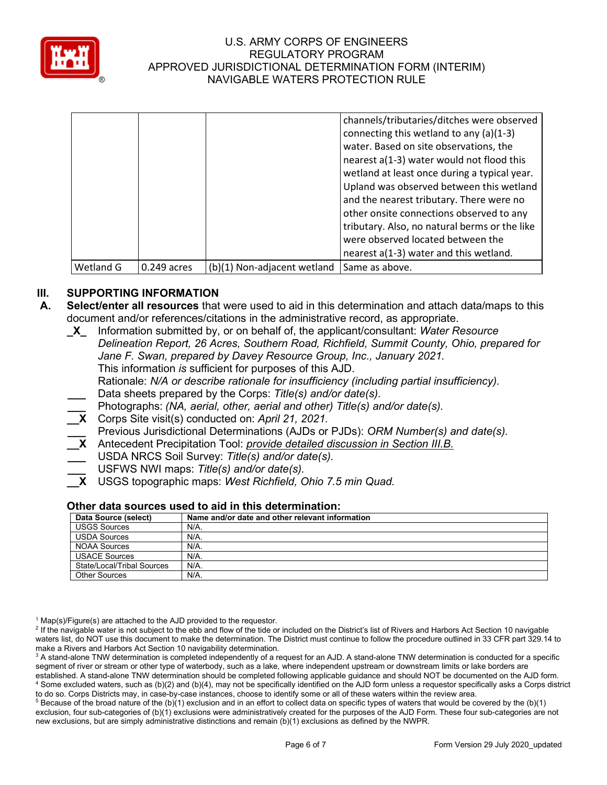

| Wetland G | $0.249$ acres | (b)(1) Non-adjacent wetland | Same as above.                                |
|-----------|---------------|-----------------------------|-----------------------------------------------|
|           |               |                             | nearest a(1-3) water and this wetland.        |
|           |               |                             | were observed located between the             |
|           |               |                             | tributary. Also, no natural berms or the like |
|           |               |                             | other onsite connections observed to any      |
|           |               |                             | and the nearest tributary. There were no      |
|           |               |                             | Upland was observed between this wetland      |
|           |               |                             |                                               |
|           |               |                             | wetland at least once during a typical year.  |
|           |               |                             | nearest a(1-3) water would not flood this     |
|           |               |                             | water. Based on site observations, the        |
|           |               |                             | connecting this wetland to any (a)(1-3)       |
|           |               |                             | channels/tributaries/ditches were observed    |

# **III. SUPPORTING INFORMATION**

- **A. Select/enter all resources** that were used to aid in this determination and attach data/maps to this document and/or references/citations in the administrative record, as appropriate.
	- **\_X\_** Information submitted by, or on behalf of, the applicant/consultant: *Water Resource Delineation Report, 26 Acres, Southern Road, Richfield, Summit County, Ohio, prepared for Jane F. Swan, prepared by Davey Resource Group, Inc., January 2021.* This information *is* sufficient for purposes of this AJD. Rationale: *N/A or describe rationale for insufficiency (including partial insufficiency).* **\_\_\_** Data sheets prepared by the Corps: *Title(s) and/or date(s).* **\_\_\_** Photographs: *(NA, aerial, other, aerial and other) Title(s) and/or date(s).* **\_\_X** Corps Site visit(s) conducted on: *April 21, 2021.*
	- **\_\_\_** Previous Jurisdictional Determinations (AJDs or PJDs): *ORM Number(s) and date(s).*
	- **\_\_X** Antecedent Precipitation Tool: *provide detailed discussion in Section III.B.*
	- **\_\_\_** USDA NRCS Soil Survey: *Title(s) and/or date(s).*
	- **\_\_\_** USFWS NWI maps: *Title(s) and/or date(s).*
	- **\_\_X** USGS topographic maps: *West Richfield, Ohio 7.5 min Quad.*

# **Other data sources used to aid in this determination:**

| Data Source (select)       | Name and/or date and other relevant information |
|----------------------------|-------------------------------------------------|
| <b>USGS Sources</b>        | N/A.                                            |
| <b>USDA Sources</b>        | N/A.                                            |
| <b>NOAA Sources</b>        | $N/A$ .                                         |
| <b>USACE Sources</b>       | $N/A$ .                                         |
| State/Local/Tribal Sources | N/A.                                            |
| Other Sources              | $N/A$ .                                         |

 $1$  Map(s)/Figure(s) are attached to the AJD provided to the requestor.

<sup>2</sup> If the navigable water is not subject to the ebb and flow of the tide or included on the District's list of Rivers and Harbors Act Section 10 navigable waters list, do NOT use this document to make the determination. The District must continue to follow the procedure outlined in 33 CFR part 329.14 to make a Rivers and Harbors Act Section 10 navigability determination.

<sup>3</sup> A stand-alone TNW determination is completed independently of a request for an AJD. A stand-alone TNW determination is conducted for a specific segment of river or stream or other type of waterbody, such as a lake, where independent upstream or downstream limits or lake borders are established. A stand-alone TNW determination should be completed following applicable guidance and should NOT be documented on the AJD form. <sup>4</sup> Some excluded waters, such as (b)(2) and (b)(4), may not be specifically identified on the AJD form unless a requestor specifically asks a Corps district to do so. Corps Districts may, in case-by-case instances, choose to identify some or all of these waters within the review area.

 $5$  Because of the broad nature of the (b)(1) exclusion and in an effort to collect data on specific types of waters that would be covered by the (b)(1) exclusion, four sub-categories of (b)(1) exclusions were administratively created for the purposes of the AJD Form. These four sub-categories are not new exclusions, but are simply administrative distinctions and remain (b)(1) exclusions as defined by the NWPR.